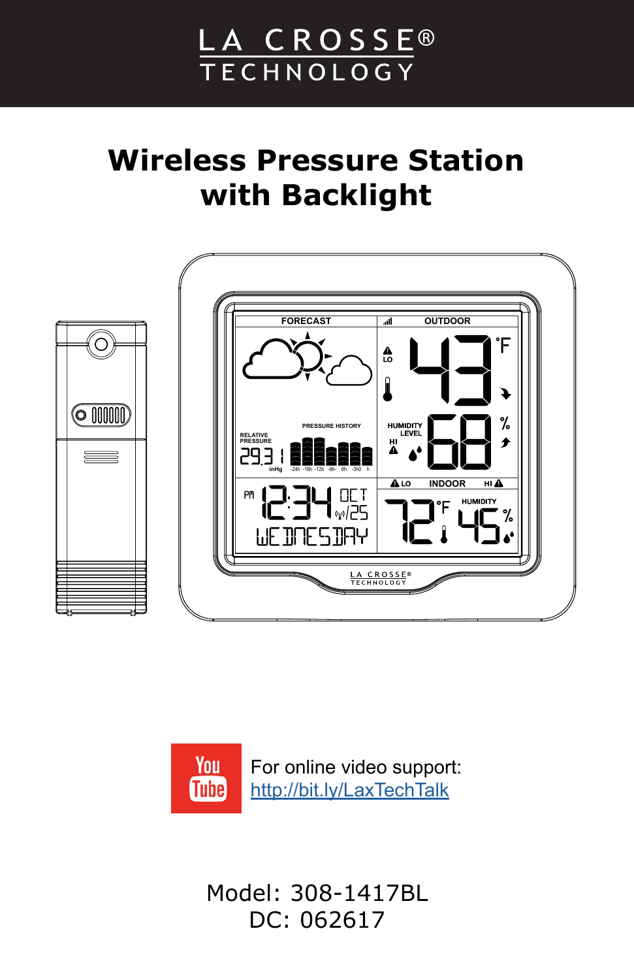# LA CROSSE® TECHNOLOGY

# **Wireless Pressure Station with Backlight**





Model: 308-1417BL DC: 062617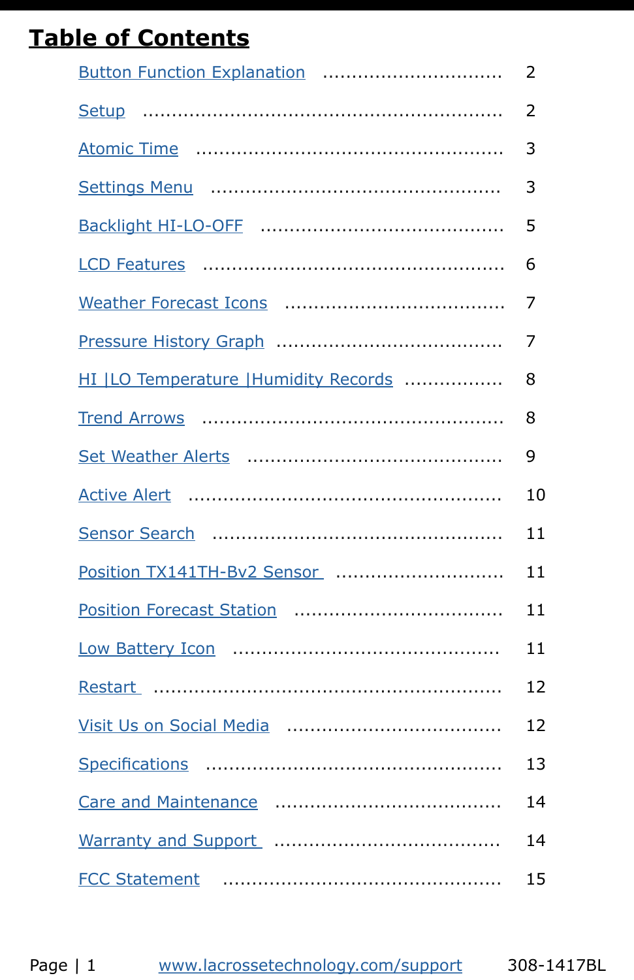# **Table of Contents**

| Button Function Explanation            | 2              |
|----------------------------------------|----------------|
|                                        | $\overline{2}$ |
|                                        | 3              |
|                                        | 3              |
|                                        | 5              |
|                                        | 6              |
|                                        | 7              |
|                                        | 7              |
| HI   LO Temperature   Humidity Records | 8              |
|                                        | 8              |
|                                        | 9              |
|                                        | 10             |
|                                        | 11             |
| Position TX141TH-Bv2 Sensor            | 11             |
|                                        | 11             |
|                                        | 11             |
|                                        | 12             |
|                                        | 12             |
|                                        | 13             |
|                                        | 14             |
|                                        | 14             |
|                                        | 15             |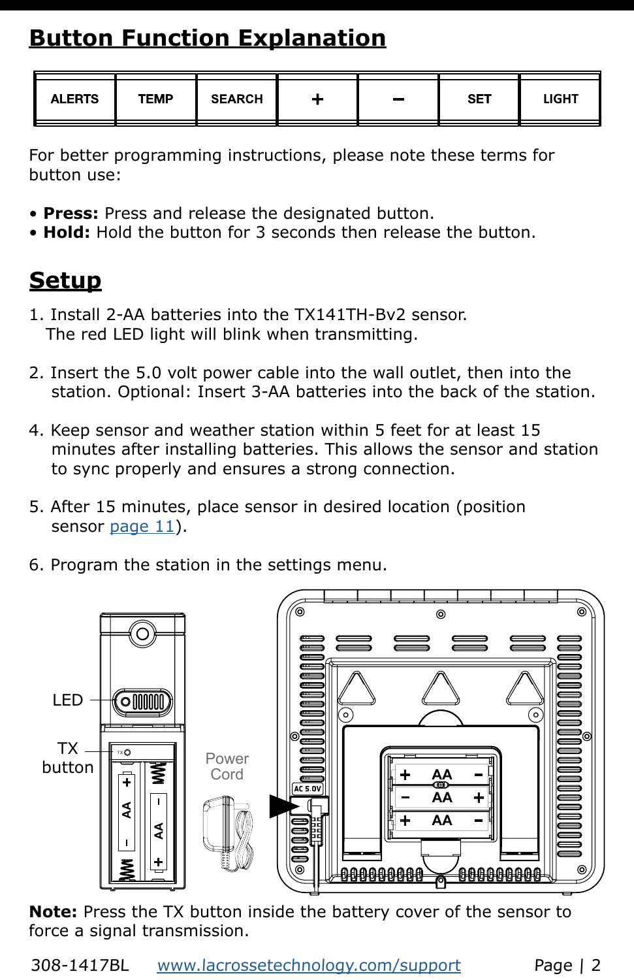# <span id="page-2-0"></span>**Button Function Explanation**

| ALERTS | <b>TEMP</b> | <b>SEARCH</b> | $\overline{\phantom{0}}$ | <b>SET</b> | LIGHT |
|--------|-------------|---------------|--------------------------|------------|-------|
|        |             |               |                          |            |       |

For better programming instructions, please note these terms for button use:

- **Press:** Press and release the designated button.
- **Hold:** Hold the button for 3 seconds then release the button.

# **Setup**

- 1. Install 2-AA batteries into the TX141TH-Bv2 sensor. The red LED light will blink when transmitting.
- 2. Insert the 5.0 volt power cable into the wall outlet, then into the station. Optional: Insert 3-AA batteries into the back of the station.
- 4. Keep sensor and weather station within 5 feet for at least 15 minutes after installing batteries. This allows the sensor and station to sync properly and ensures a strong connection.
- 5. After 15 minutes, place sensor in desired location (position sensor [page](#page-11-0) 11).
- 6. Program the station in the settings menu.



**Note:** Press the TX button inside the battery cover of the sensor to force a signal transmission.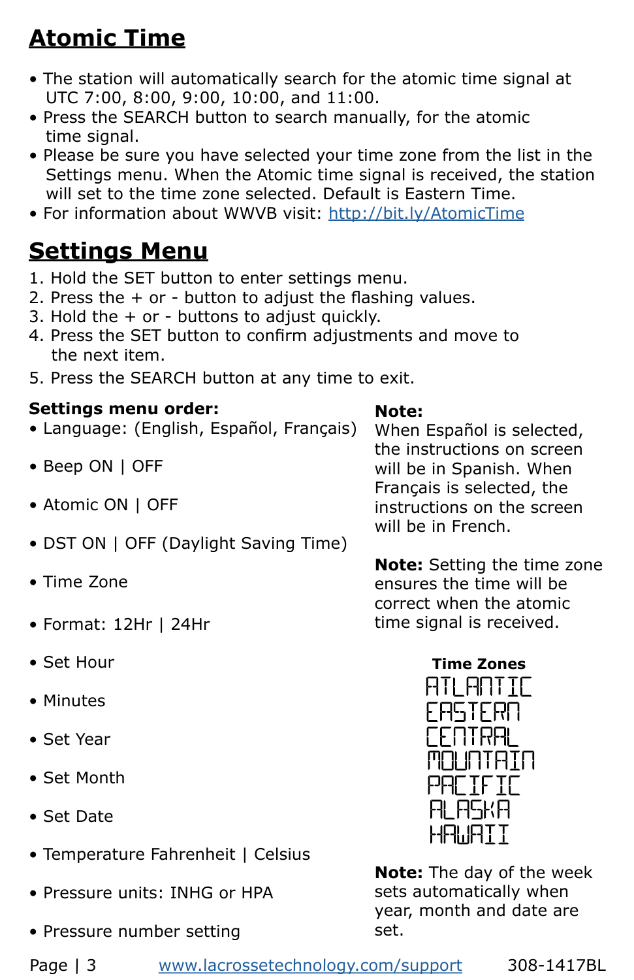# <span id="page-3-0"></span>**Atomic Time**

- The station will automatically search for the atomic time signal at UTC 7:00, 8:00, 9:00, 10:00, and 11:00.
- Press the SEARCH button to search manually, for the atomic time signal.
- Please be sure you have selected your time zone from the list in the Settings menu. When the Atomic time signal is received, the station will set to the time zone selected. Default is Eastern Time.
- For information about WWVB visit:<http://bit.ly/AtomicTime>

## **Settings Menu**

- 1. Hold the SET button to enter settings menu.
- 2. Press the  $+$  or button to adjust the flashing values.
- 3. Hold the  $+$  or buttons to adjust quickly.
- 4. Press the SET button to confirm adjustments and move to the next item.
- 5. Press the SEARCH button at any time to exit.

### **Settings menu order:**

- Language: (English, Español, Français)
- Beep ON | OFF
- Atomic ON | OFF
- DST ON | OFF (Daylight Saving Time)
- Time Zone
- Format: 12Hr | 24Hr
- Set Hour
- Minutes
- Set Year
- Set Month
- Set Date
- Temperature Fahrenheit | Celsius
- Pressure units: INHG or HPA
- Pressure number setting

**Note:** Setting the time zone ensures the time will be correct when the atomic time signal is received.

When Español is selected, the instructions on screen will be in Spanish. When Français is selected, the instructions on the screen

will be in French.

**Note:** 



**Note:** The day of the week sets automatically when year, month and date are set.

Page | 3 [www.lacrossetechnology.com/support](http://www.lacrossetechnology.com/support) 308-1417BL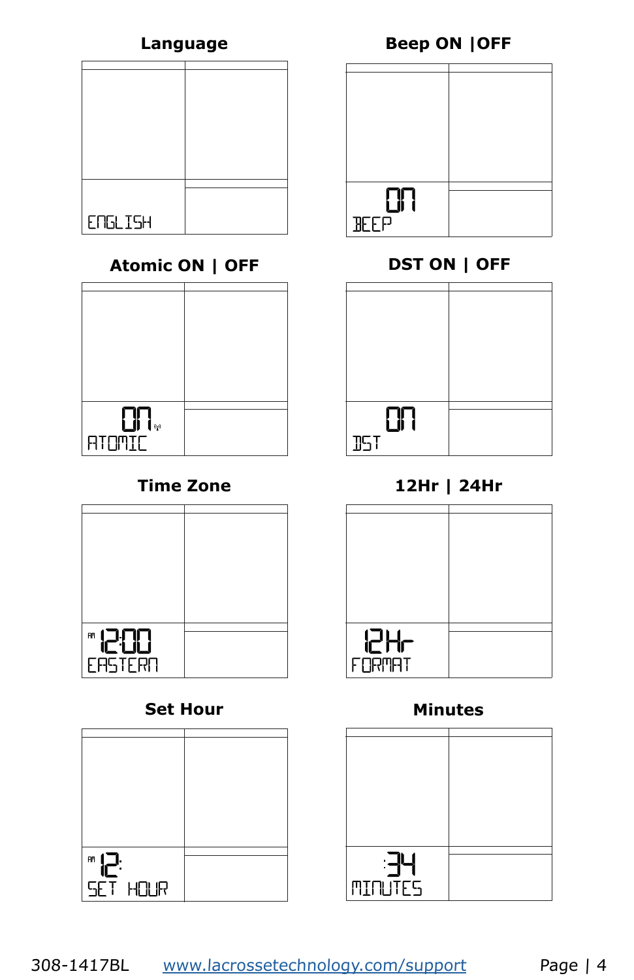| ENGLISH |  |
|---------|--|
|         |  |

## **Atomic ON | OFF DST ON | OFF**

| $\left( \mathbf{q}\right)$<br>J |  |
|---------------------------------|--|
|                                 |  |
|                                 |  |
| <b>ATOMIC</b>                   |  |
|                                 |  |



## **Set Hour Minutes**

| <b>RM</b>       |  |
|-----------------|--|
|                 |  |
|                 |  |
| <b>SET HOUR</b> |  |
|                 |  |



| - 1        |  |
|------------|--|
|            |  |
| <b>JST</b> |  |
|            |  |

## **Time Zone 12Hr | 24Hr**



| <b>MINUTES</b> |  |
|----------------|--|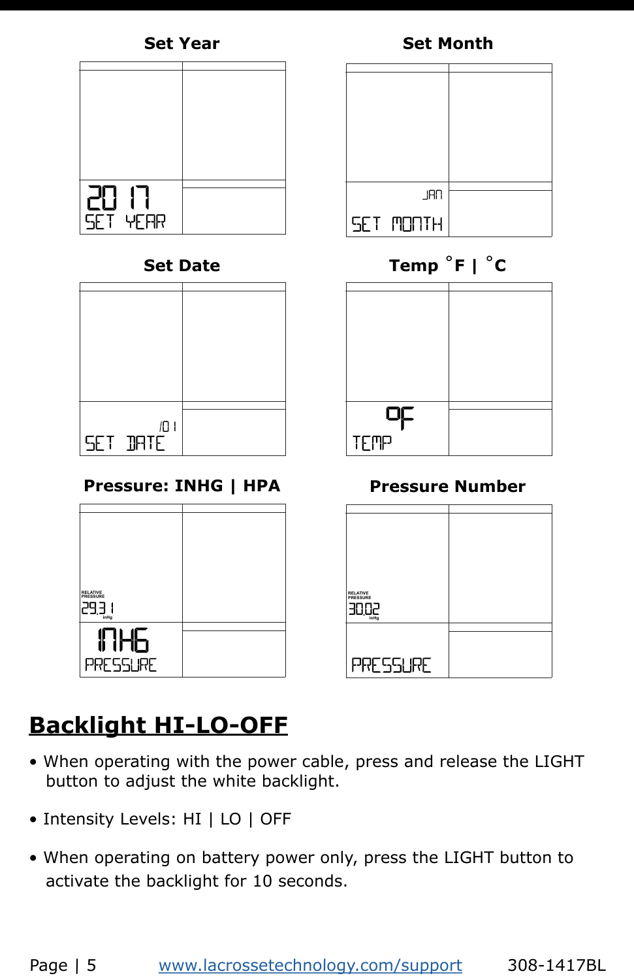

<span id="page-5-0"></span>

| Ξi             |  |
|----------------|--|
|                |  |
| 5F T 1<br>YEAR |  |

| /0 I     |  |
|----------|--|
|          |  |
| SET IRTE |  |
|          |  |

### **Pressure: INHG | HPA Pressure Number**

| <b>RELATIVE</b><br>PRESSURE |  |
|-----------------------------|--|
|                             |  |
| 293 I                       |  |
| inHg                        |  |
|                             |  |
|                             |  |
| ⊐                           |  |
|                             |  |
| <b>PRESSURE</b>             |  |
|                             |  |
|                             |  |



## **Set Date Temp** ˚**F |** ˚**C**

| 마           |  |
|-------------|--|
|             |  |
|             |  |
| <b>TEMP</b> |  |
|             |  |
|             |  |

| <b>RELATIVE</b><br>PRESSURE |  |
|-----------------------------|--|
|                             |  |
|                             |  |
| 30.Q2                       |  |
|                             |  |
|                             |  |
|                             |  |
|                             |  |
|                             |  |
|                             |  |
| PRESSURE                    |  |
|                             |  |
|                             |  |

# **Backlight HI-LO-OFF**

- When operating with the power cable, press and release the LIGHT button to adjust the white backlight.
- Intensity Levels: HI | LO | OFF
- When operating on battery power only, press the LIGHT button to activate the backlight for 10 seconds.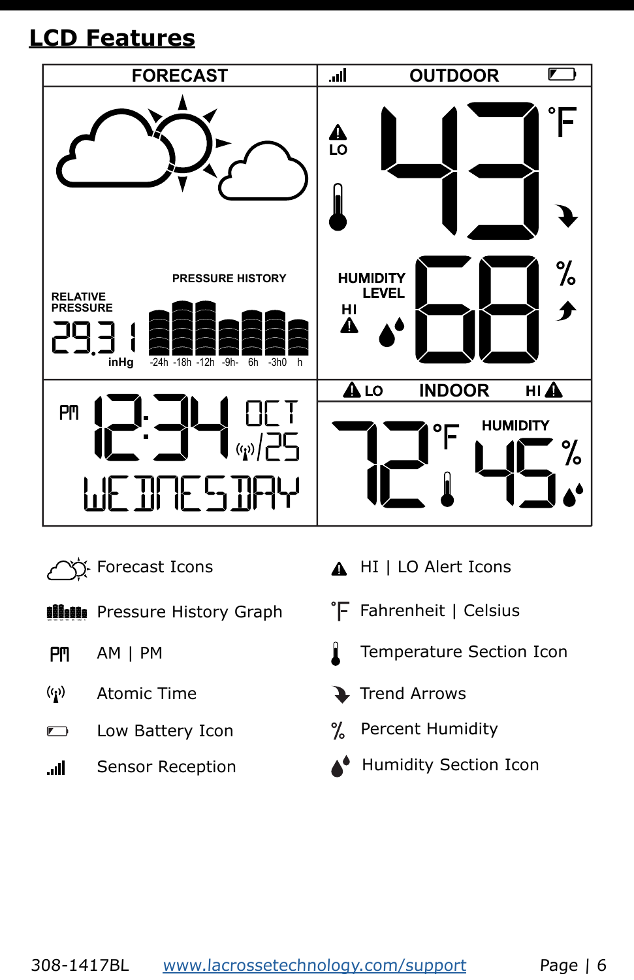# <span id="page-6-0"></span>**LCD Features**



- Forecast Icons
- **Ninin** Pressure History Graph
- $P<sub>m</sub>$ AM | PM
- $(0)$ Atomic Time
- $\blacksquare$
- Sensor Reception .d
- A HI | LO Alert Icons
- $\mathsf{F}$  Fahrenheit | Celsius
- Temperature Section Icon
- Trend Arrows
- Low Battery Icon 7% Percent Humidity
	- Humidity Section Icon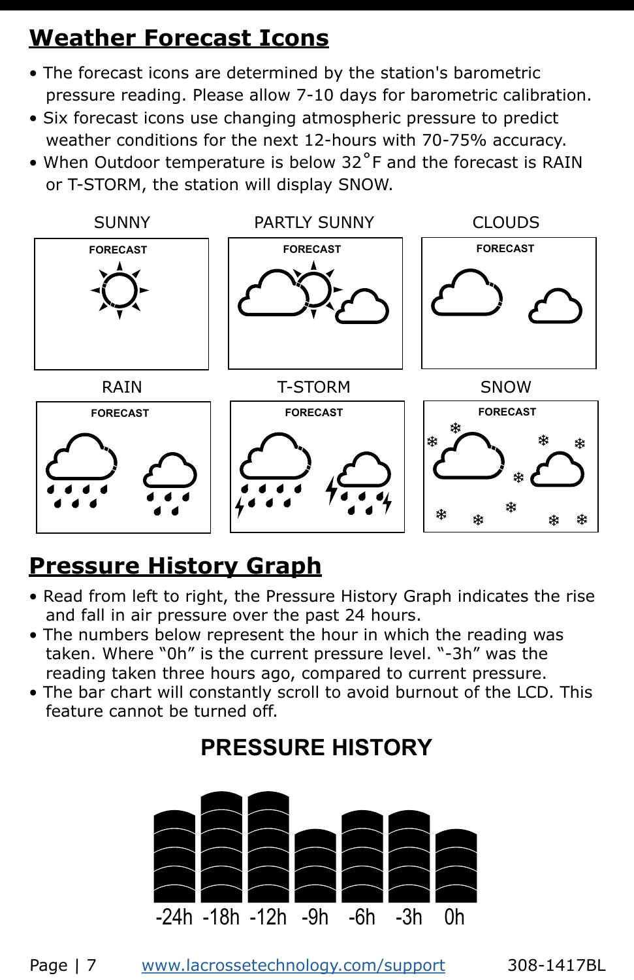# <span id="page-7-0"></span>**Weather Forecast Icons**

- The forecast icons are determined by the station's barometric pressure reading. Please allow 7-10 days for barometric calibration.
- Six forecast icons use changing atmospheric pressure to predict weather conditions for the next 12-hours with 70-75% accuracy.
- When Outdoor temperature is below 32°F and the forecast is RAIN or T-STORM, the station will display SNOW.



# **Pressure History Graph**

- Read from left to right, the Pressure History Graph indicates the rise and fall in air pressure over the past 24 hours.
- The numbers below represent the hour in which the reading was taken. Where "0h" is the current pressure level. "-3h" was the reading taken three hours ago, compared to current pressure.
- The bar chart will constantly scroll to avoid burnout of the LCD. This feature cannot be turned off.

# **PRESSURE HISTORY**

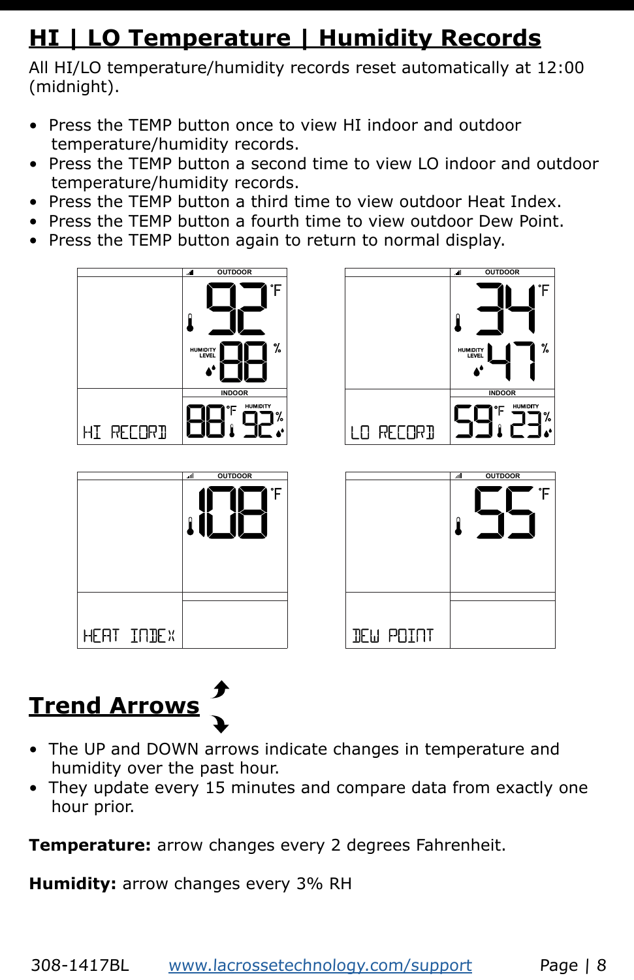# <span id="page-8-0"></span>**HI | LO Temperature | Humidity Records**

All HI/LO temperature/humidity records reset automatically at 12:00 (midnight).

- Press the TEMP button once to view HI indoor and outdoor temperature/humidity records.
- Press the TEMP button a second time to view LO indoor and outdoor temperature/humidity records.
- Press the TEMP button a third time to view outdoor Heat Index.
- Press the TEMP button a fourth time to view outdoor Dew Point.
- Press the TEMP button again to return to normal display.









# **Trend Arrows**

- The UP and DOWN arrows indicate changes in temperature and humidity over the past hour.
- They update every 15 minutes and compare data from exactly one hour prior.

**Temperature:** arrow changes every 2 degrees Fahrenheit.

**Humidity:** arrow changes every 3% RH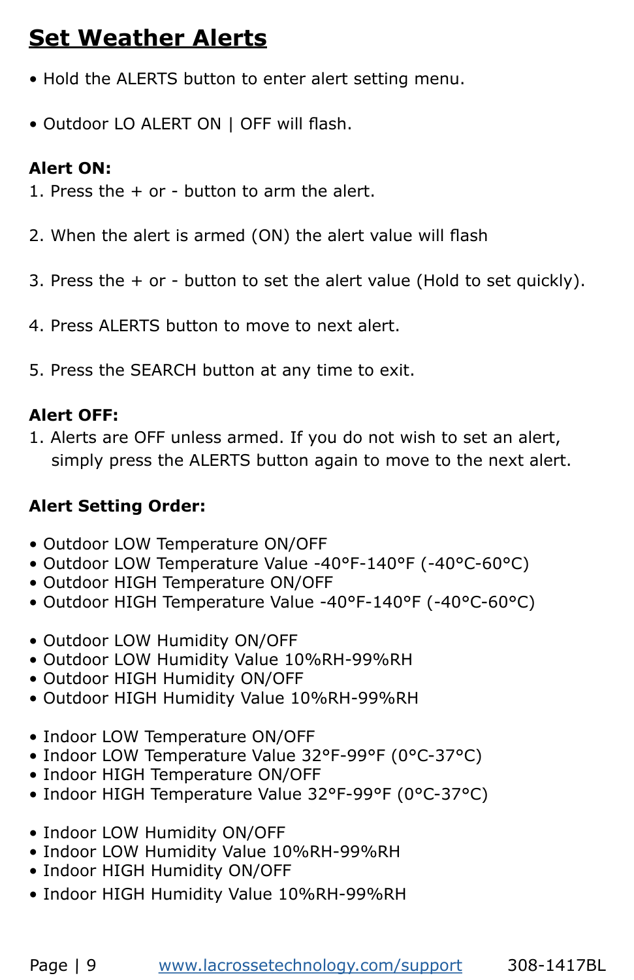# <span id="page-9-0"></span>**Set Weather Alerts**

- Hold the ALERTS button to enter alert setting menu.
- Outdoor LO ALERT ON | OFF will flash.

### **Alert ON:**

- 1. Press the + or button to arm the alert.
- 2. When the alert is armed (ON) the alert value will flash
- 3. Press the + or button to set the alert value (Hold to set quickly).
- 4. Press ALERTS button to move to next alert.
- 5. Press the SEARCH button at any time to exit.

### **Alert OFF:**

1. Alerts are OFF unless armed. If you do not wish to set an alert, simply press the ALERTS button again to move to the next alert.

### **Alert Setting Order:**

- Outdoor LOW Temperature ON/OFF
- Outdoor LOW Temperature Value -40°F-140°F (-40°C-60°C)
- Outdoor HIGH Temperature ON/OFF
- Outdoor HIGH Temperature Value -40°F-140°F (-40°C-60°C)
- Outdoor LOW Humidity ON/OFF
- Outdoor LOW Humidity Value 10%RH-99%RH
- Outdoor HIGH Humidity ON/OFF
- Outdoor HIGH Humidity Value 10%RH-99%RH
- Indoor LOW Temperature ON/OFF
- Indoor LOW Temperature Value 32°F-99°F (0°C-37°C)
- Indoor HIGH Temperature ON/OFF
- Indoor HIGH Temperature Value 32°F-99°F (0°C-37°C)
- Indoor LOW Humidity ON/OFF
- Indoor LOW Humidity Value 10%RH-99%RH
- Indoor HIGH Humidity ON/OFF
- Indoor HIGH Humidity Value 10%RH-99%RH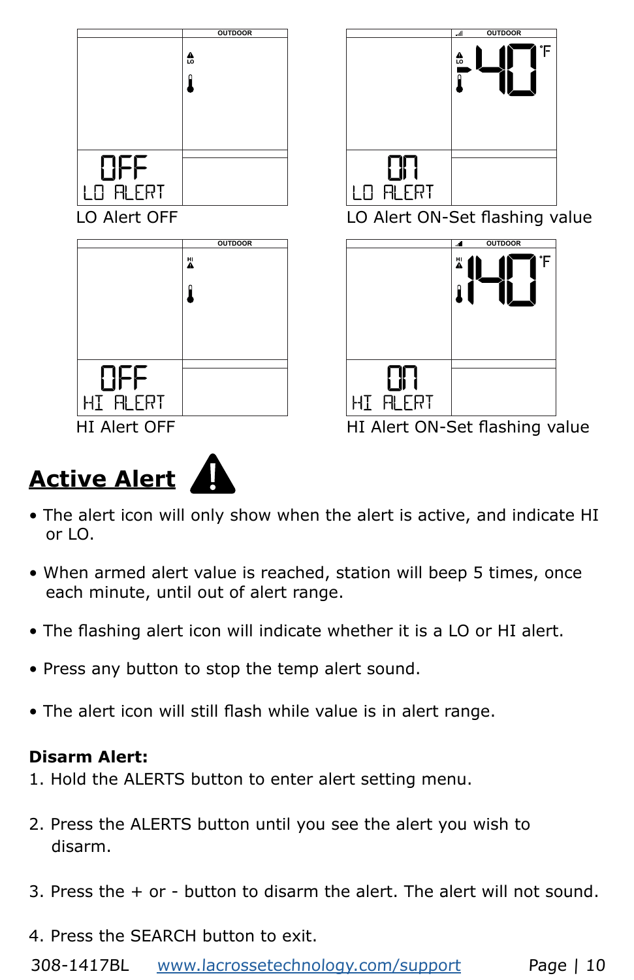<span id="page-10-0"></span>

- The alert icon will only show when the alert is active, and indicate HI or LO.
- When armed alert value is reached, station will beep 5 times, once each minute, until out of alert range.
- The flashing alert icon will indicate whether it is a LO or HI alert.
- Press any button to stop the temp alert sound.
- The alert icon will still flash while value is in alert range.

## **Disarm Alert:**

- 1. Hold the ALERTS button to enter alert setting menu.
- 2. Press the ALERTS button until you see the alert you wish to disarm.
- 3. Press the + or button to disarm the alert. The alert will not sound.
- 4. Press the SEARCH button to exit.

308-1417BL [www.lacrossetechnology.com/support](http://www.lacrossetechnology.com/support) Page | 10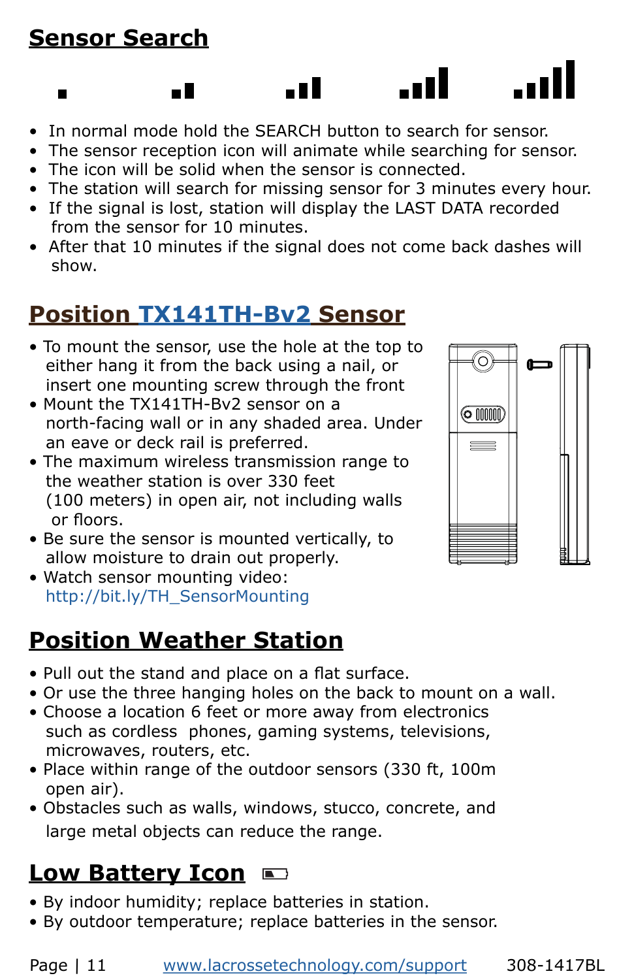# <span id="page-11-0"></span>**Sensor Search**

 $\blacksquare$ 

n II

- In normal mode hold the SEARCH button to search for sensor.
- The sensor reception icon will animate while searching for sensor.

. o 1

. . II

- The icon will be solid when the sensor is connected.
- The station will search for missing sensor for 3 minutes every hour.
- If the signal is lost, station will display the LAST DATA recorded from the sensor for 10 minutes.
- After that 10 minutes if the signal does not come back dashes will show.

# **Position [TX141TH-B](https://www.lacrossetechnology.com/tx141th-bv2-temperature-humidity-sensor)v2 Sensor**

- To mount the sensor, use the hole at the top to either hang it from the back using a nail, or insert one mounting screw through the front
- Mount the TX141TH-Bv2 sensor on a north-facing wall or in any shaded area. Under an eave or deck rail is preferred.
- The maximum wireless transmission range to the weather station is over 330 feet (100 meters) in open air, not including walls or floors.
- Be sure the sensor is mounted vertically, to allow moisture to drain out properly.
- Watch sensor mounting video: [http://bit.ly/TH\\_SensorMounting](http://bit.ly/TH_SensorMounting)

# **Position Weather Station**

- Pull out the stand and place on a flat surface.
- Or use the three hanging holes on the back to mount on a wall.
- Choose a location 6 feet or more away from electronics such as cordless phones, gaming systems, televisions, microwaves, routers, etc.
- Place within range of the outdoor sensors (330 ft, 100m open air).
- Obstacles such as walls, windows, stucco, concrete, and large metal objects can reduce the range.

# **Low Battery Icon**

- By indoor humidity; replace batteries in station.
- By outdoor temperature; replace batteries in the sensor.

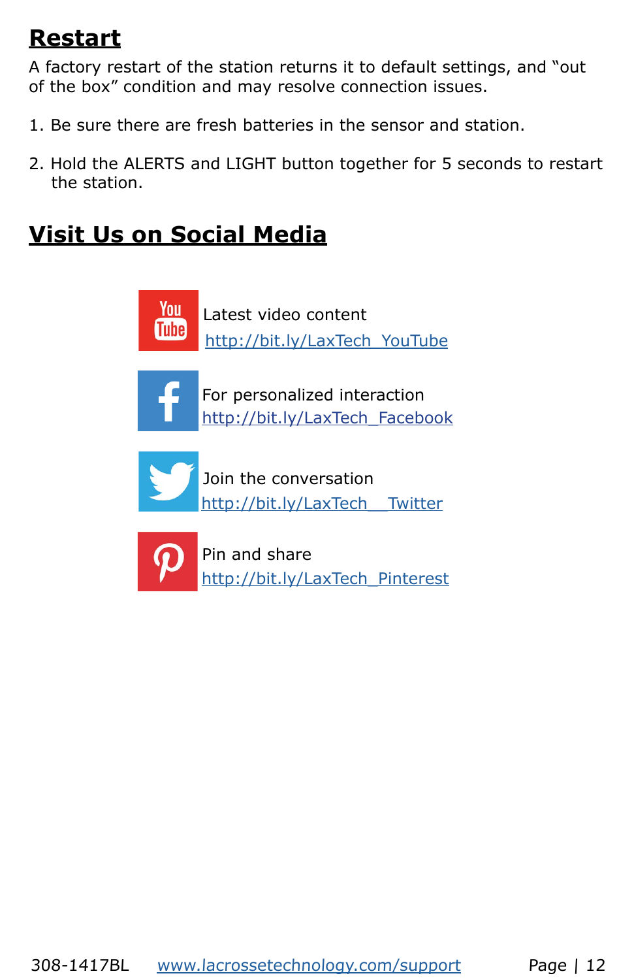## <span id="page-12-0"></span>**Restart**

A factory restart of the station returns it to default settings, and "out of the box" condition and may resolve connection issues.

- 1. Be sure there are fresh batteries in the sensor and station.
- 2. Hold the ALERTS and LIGHT button together for 5 seconds to restart the station.

# **Visit Us on Social Media**

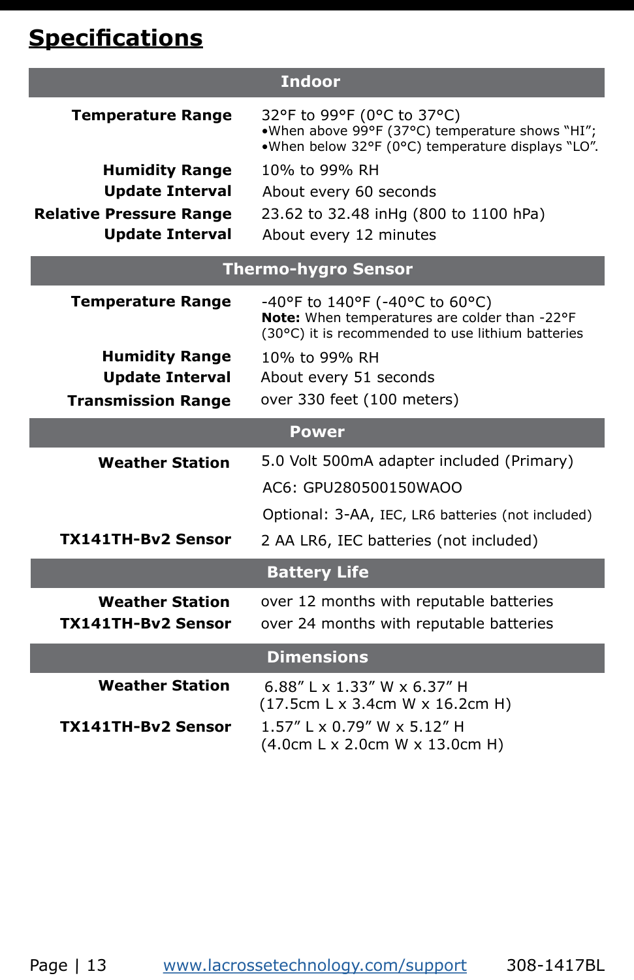# <span id="page-13-0"></span>**Specifications**

| <b>Indoor</b>                  |                                                                                                                                      |
|--------------------------------|--------------------------------------------------------------------------------------------------------------------------------------|
| <b>Temperature Range</b>       | 32°F to 99°F (0°C to 37°C)<br>.When above 99°F (37°C) temperature shows "HI";<br>.When below 32°F (0°C) temperature displays "LO".   |
| <b>Humidity Range</b>          | 10% to 99% RH                                                                                                                        |
| <b>Update Interval</b>         | About every 60 seconds                                                                                                               |
| <b>Relative Pressure Range</b> | 23.62 to 32.48 inHg (800 to 1100 hPa)                                                                                                |
| <b>Update Interval</b>         | About every 12 minutes                                                                                                               |
| <b>Thermo-hygro Sensor</b>     |                                                                                                                                      |
| <b>Temperature Range</b>       | -40°F to 140°F (-40°C to 60°C)<br>Note: When temperatures are colder than -22°F<br>(30°C) it is recommended to use lithium batteries |
| <b>Humidity Range</b>          | 10% to 99% RH                                                                                                                        |
| <b>Update Interval</b>         | About every 51 seconds                                                                                                               |
| <b>Transmission Range</b>      | over 330 feet (100 meters)                                                                                                           |
| Power                          |                                                                                                                                      |
| <b>Weather Station</b>         | 5.0 Volt 500mA adapter included (Primary)                                                                                            |
|                                | AC6: GPU280500150WAOO                                                                                                                |
|                                | Optional: 3-AA, IEC, LR6 batteries (not included)                                                                                    |
| <b>TX141TH-Bv2 Sensor</b>      | 2 AA LR6, IEC batteries (not included)                                                                                               |
| <b>Battery Life</b>            |                                                                                                                                      |
| <b>Weather Station</b>         | over 12 months with reputable batteries                                                                                              |
| TX141TH-Bv2 Sensor             | over 24 months with reputable batteries                                                                                              |
| <b>Dimensions</b>              |                                                                                                                                      |
| <b>Weather Station</b>         | 6.88" L x 1.33" W x 6.37" H                                                                                                          |
|                                | (17.5cm L x 3.4cm W x 16.2cm H)                                                                                                      |
| <b>TX141TH-Bv2 Sensor</b>      | 1.57" L x 0.79" W x 5.12" H<br>(4.0cm L x 2.0cm W x 13.0cm H)                                                                        |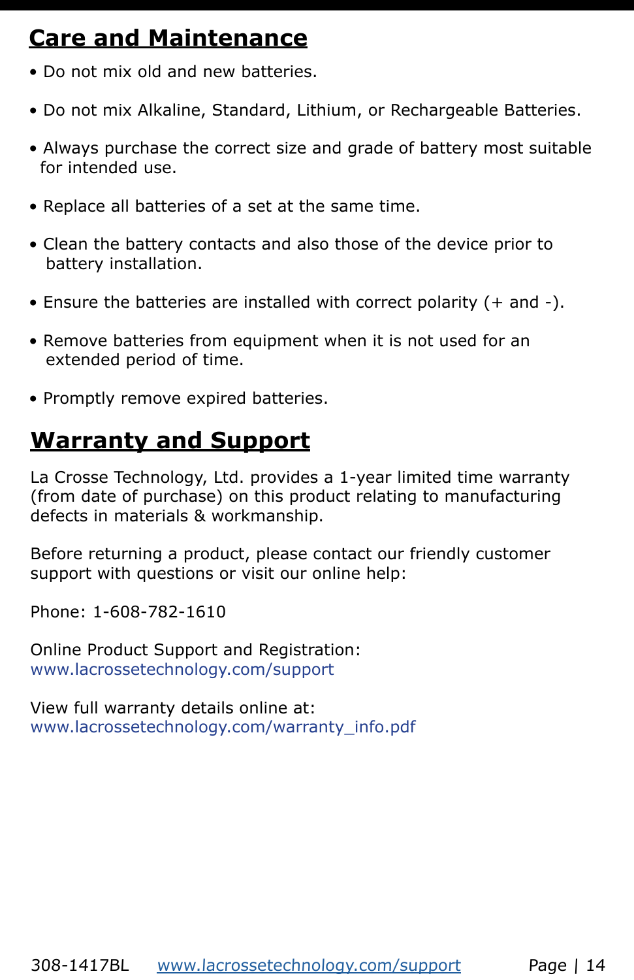# <span id="page-14-0"></span>**Care and Maintenance**

- Do not mix old and new batteries.
- Do not mix Alkaline, Standard, Lithium, or Rechargeable Batteries.
- Always purchase the correct size and grade of battery most suitable for intended use.
- Replace all batteries of a set at the same time.
- Clean the battery contacts and also those of the device prior to battery installation.
- Ensure the batteries are installed with correct polarity (+ and -).
- Remove batteries from equipment when it is not used for an extended period of time.
- Promptly remove expired batteries.

## **Warranty and Support**

La Crosse Technology, Ltd. provides a 1-year limited time warranty (from date of purchase) on this product relating to manufacturing defects in materials & workmanship.

Before returning a product, please contact our friendly customer support with questions or visit our online help:

Phone: 1-608-782-1610

Online Product Support and Registration: [www.lacrossetechnology.com/support](http://www.lacrossetechnology.com/support) 

View full warranty details online at: [www.lacrossetechnology.com/warranty\\_info.pdf](http://www.lacrossetechnology.com/warranty_info.pdf)